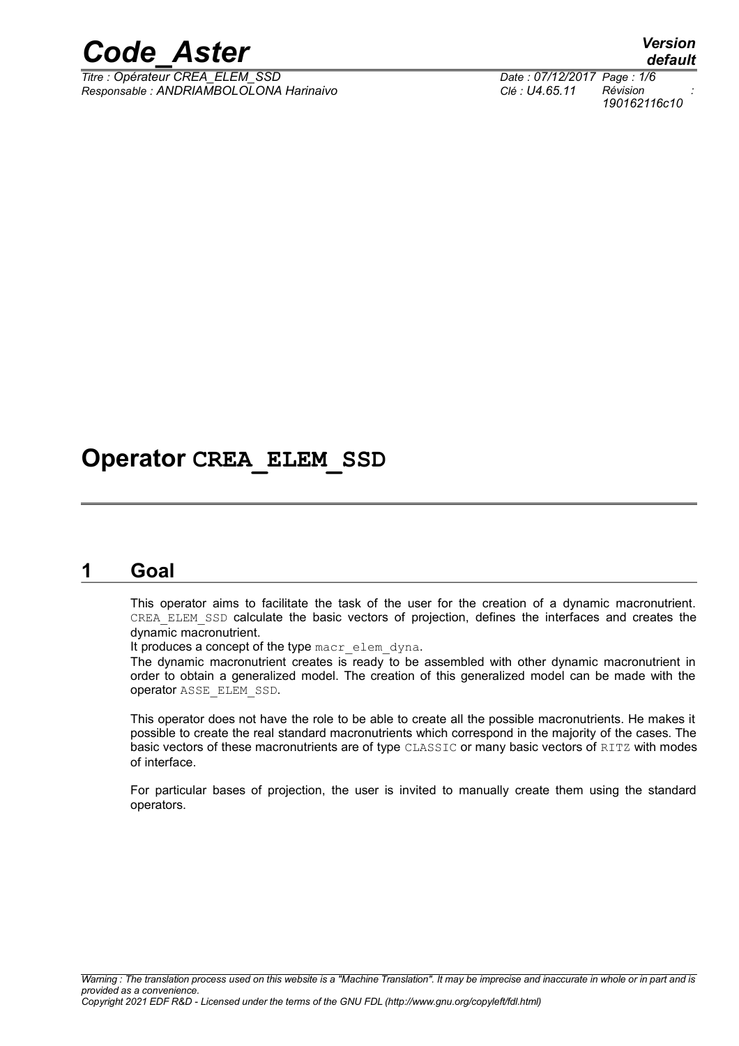

*Titre : Opérateur CREA\_ELEM\_SSD Date : 07/12/2017 Page : 1/6 Responsable : ANDRIAMBOLOLONA Harinaivo Clé : U4.65.11 Révision :*

### **Operator CREA\_ELEM\_SSD**

#### **1 Goal**

<span id="page-0-0"></span>This operator aims to facilitate the task of the user for the creation of a dynamic macronutrient. CREA\_ELEM\_SSD calculate the basic vectors of projection, defines the interfaces and creates the dynamic macronutrient.

It produces a concept of the type macr elem dyna.

The dynamic macronutrient creates is ready to be assembled with other dynamic macronutrient in order to obtain a generalized model. The creation of this generalized model can be made with the operator ASSE\_ELEM\_SSD.

This operator does not have the role to be able to create all the possible macronutrients. He makes it possible to create the real standard macronutrients which correspond in the majority of the cases. The basic vectors of these macronutrients are of type CLASSIC or many basic vectors of RITZ with modes of interface.

For particular bases of projection, the user is invited to manually create them using the standard operators.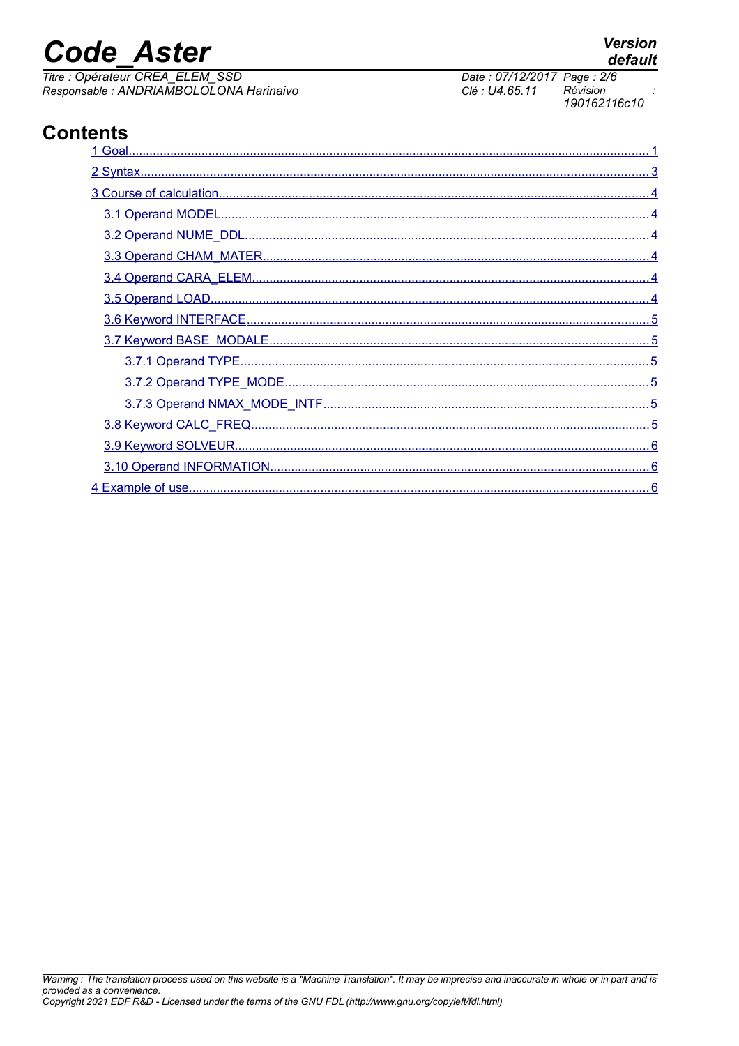## **Code Aster**

Titre : Opérateur CREA\_ELEM\_SSD Responsable : ANDRIAMBOLOLONA Harinaivo

#### **Contents**

Date: 07/12/2017 Page: 2/6 Clé : U4.65.11 Révision 190162116c10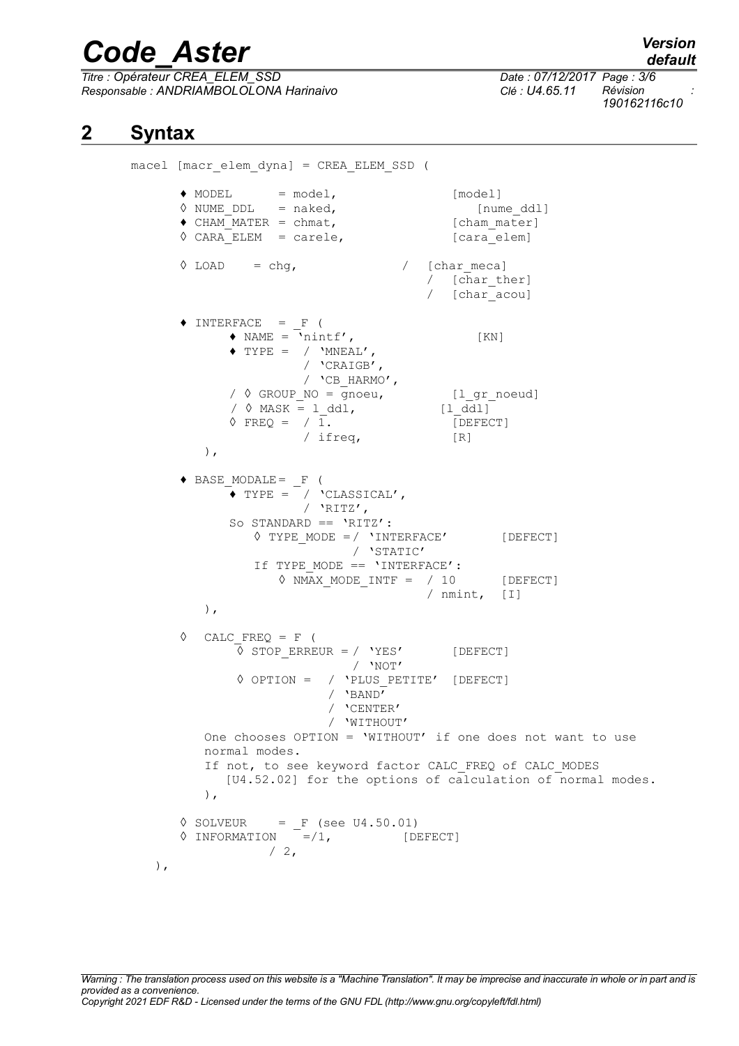*Titre : Opérateur CREA\_ELEM\_SSD Date : 07/12/2017 Page : 3/6 Responsable : ANDRIAMBOLOLONA Harinaivo Clé : U4.65.11 Révision :*

*190162116c10*

#### **2 Syntax**

<span id="page-2-0"></span>macel [macr\_elem\_dyna] = CREA\_ELEM\_SSD (  $\bullet$  MODEL =  $model$ , [model]  $\Diamond$  NUME\_DDL = naked,  $[$ nume ddl]  $\triangleleft$  CHAM\_MATER = chmat,  $[\text{cham mater}]$  $\sqrt{CARA_ELEM}$  = carele, [cara\_elem]  $\sqrt{2}$  LOAD = chg,  $\sqrt{2}$  [charmeca] / [char\_ther] / [char\_acou]  $\triangle$  INTERFACE = F (  $\triangleleft$  NAME =  $\bar{\lambda}$ nintf', [KN]  $\blacklozenge$  TYPE = /  $\text{'MNEAL'}$ , / 'CRAIGB', / 'CB\_HARMO', /  $\sqrt{}$  GROUP NO = gnoeu, [l gr noeud]  $\begin{array}{ccc} \sqrt{6} & \text{MASK} = 1_d \text{d}1, & \text{[1_d d1]} \\ \sqrt{6} & \text{FREG} = 71. & \text{[DEFECT} \end{array}$  $\sqrt{2}$  FREQ =  $\sqrt{1}$ . / ifreq, [R] ),  $\triangle$  BASE MODALE=  $F$  (  $\bullet$  TYPE =  $\sqrt{\phantom{a}}$  'CLASSICAL', / 'RITZ', So STANDARD == 'RITZ':  $\Diamond$  TYPE MODE =/ 'INTERFACE' [DEFECT] / 'STATIC' If TYPE MODE  $== 'INTERFACE':$  $\Diamond$  NMAX MODE INTF = / 10 [DEFECT] / nmint, [I] ),  $\Diamond$  CALC FREQ = F (  $\overline{\lozenge}$  STOP ERREUR = / 'YES' [DEFECT] / 'NOT' ◊ OPTION = / 'PLUS\_PETITE' [DEFECT] / 'BAND' / 'CENTER' / 'WITHOUT' One chooses OPTION = 'WITHOUT' if one does not want to use normal modes. If not, to see keyword factor CALC FREQ of CALC MODES [U4.52.02] for the options of calculation of normal modes. ),  $\Diamond$  SOLVEUR = F (see U4.50.01) **◊** INFORMATION =/1, [DEFECT]  $/2$ , ),

### *default*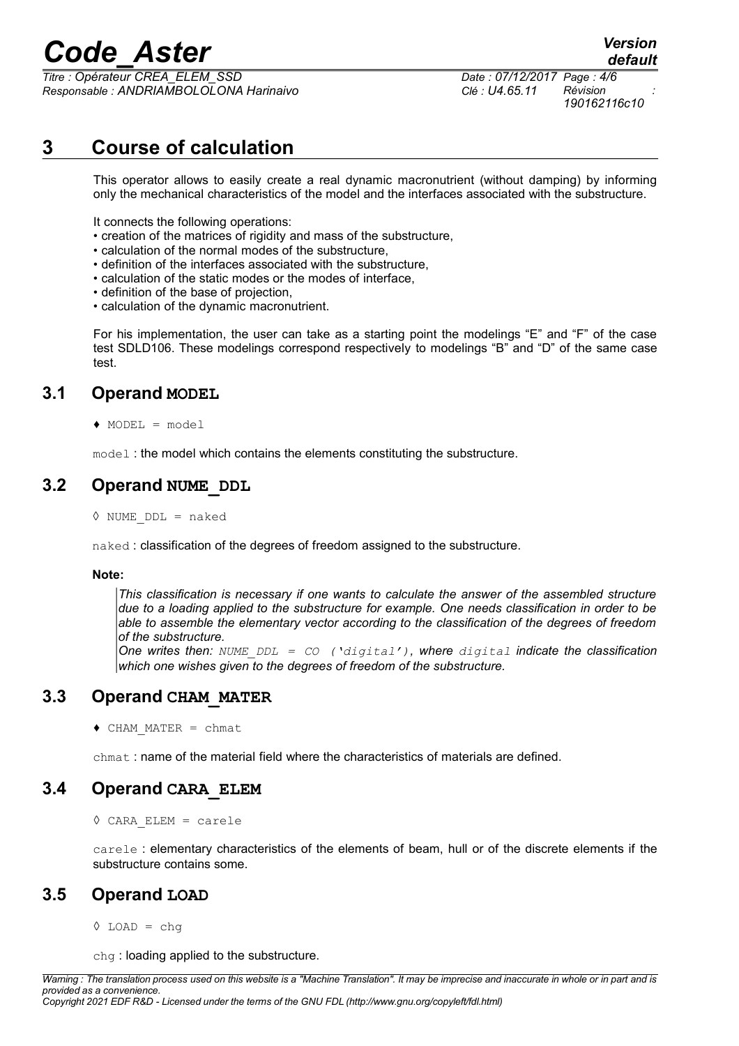*Titre : Opérateur CREA\_ELEM\_SSD Date : 07/12/2017 Page : 4/6 Responsable : ANDRIAMBOLOLONA Harinaivo Clé : U4.65.11 Révision :*

*190162116c10*

*default*

#### **3 Course of calculation**

<span id="page-3-5"></span>This operator allows to easily create a real dynamic macronutrient (without damping) by informing only the mechanical characteristics of the model and the interfaces associated with the substructure.

It connects the following operations:

- creation of the matrices of rigidity and mass of the substructure,
- calculation of the normal modes of the substructure,
- definition of the interfaces associated with the substructure,
- calculation of the static modes or the modes of interface,
- definition of the base of projection,
- calculation of the dynamic macronutrient.

For his implementation, the user can take as a starting point the modelings "E" and "F" of the case test SDLD106. These modelings correspond respectively to modelings "B" and "D" of the same case test.

#### **3.1 Operand MODEL**

<span id="page-3-4"></span>♦ MODEL = model

<span id="page-3-3"></span>model : the model which contains the elements constituting the substructure.

#### **3.2 Operand NUME\_DDL**

 $\Diamond$  NUME DDL = naked

naked : classification of the degrees of freedom assigned to the substructure.

#### **Note:**

*This classification is necessary if one wants to calculate the answer of the assembled structure due to a loading applied to the substructure for example. One needs classification in order to be able to assemble the elementary vector according to the classification of the degrees of freedom of the substructure.*

*One writes then: NUME\_DDL = CO ('digital'), where digital indicate the classification which one wishes given to the degrees of freedom of the substructure.*

#### **3.3 Operand CHAM\_MATER**

<span id="page-3-2"></span> $\triangleleft$  CHAM MATER = chmat

<span id="page-3-1"></span>chmat : name of the material field where the characteristics of materials are defined.

#### **3.4 Operand CARA\_ELEM**

◊ CARA\_ELEM = carele

carele : elementary characteristics of the elements of beam, hull or of the discrete elements if the substructure contains some.

#### **3.5 Operand LOAD**

<span id="page-3-0"></span> $\lozenge$  LOAD = chg

chg : loading applied to the substructure.

*Warning : The translation process used on this website is a "Machine Translation". It may be imprecise and inaccurate in whole or in part and is provided as a convenience.*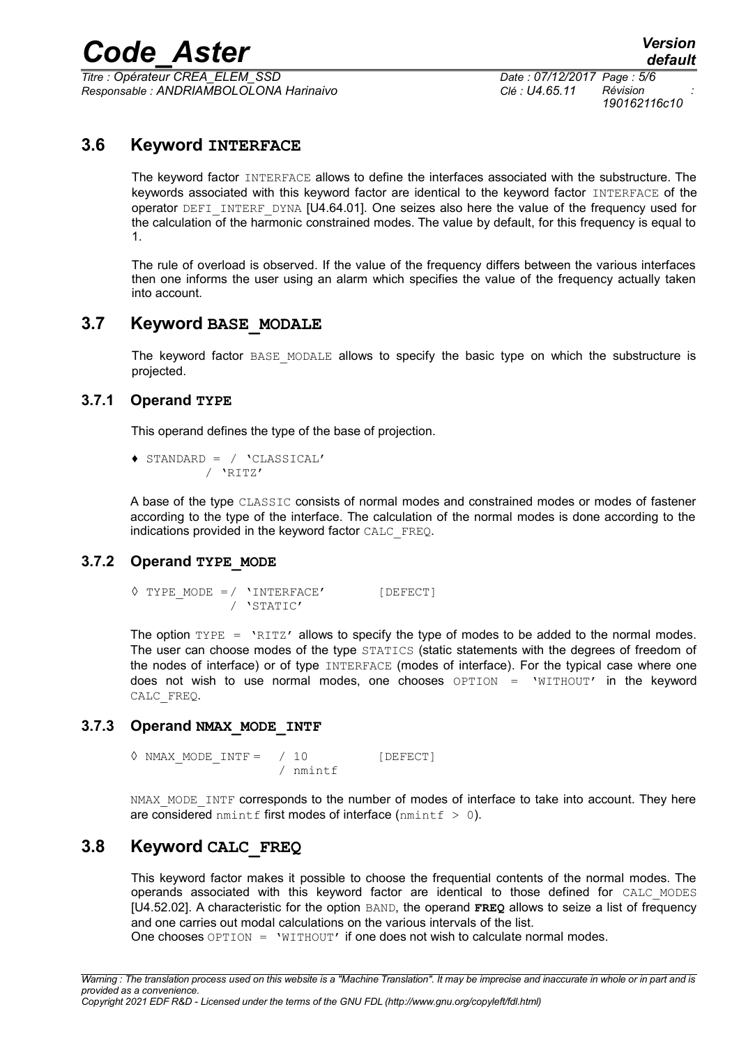*Titre : Opérateur CREA\_ELEM\_SSD Date : 07/12/2017 Page : 5/6 Responsable : ANDRIAMBOLOLONA Harinaivo Clé : U4.65.11 Révision :*

*190162116c10*

#### **3.6 Keyword INTERFACE**

<span id="page-4-5"></span>The keyword factor INTERFACE allows to define the interfaces associated with the substructure. The keywords associated with this keyword factor are identical to the keyword factor INTERFACE of the operator DEFI\_INTERF\_DYNA [U4.64.01]. One seizes also here the value of the frequency used for the calculation of the harmonic constrained modes. The value by default, for this frequency is equal to 1.

The rule of overload is observed. If the value of the frequency differs between the various interfaces then one informs the user using an alarm which specifies the value of the frequency actually taken into account.

#### **3.7 Keyword BASE\_MODALE**

<span id="page-4-4"></span>The keyword factor BASE MODALE allows to specify the basic type on which the substructure is projected.

#### **3.7.1 Operand TYPE**

<span id="page-4-3"></span>This operand defines the type of the base of projection.

♦ STANDARD = / 'CLASSICAL' / 'RITZ'

A base of the type CLASSIC consists of normal modes and constrained modes or modes of fastener according to the type of the interface. The calculation of the normal modes is done according to the indications provided in the keyword factor CALC\_FREQ.

#### **3.7.2 Operand TYPE\_MODE**

```
\Diamond TYPE MODE =/ 'INTERFACE' [DEFECT]
             / 'STATIC'
```
The option  $TYPE = YRITZ'$  allows to specify the type of modes to be added to the normal modes. The user can choose modes of the type STATICS (static statements with the degrees of freedom of the nodes of interface) or of type INTERFACE (modes of interface). For the typical case where one does not wish to use normal modes, one chooses OPTION = 'WITHOUT' in the keyword CALC\_FREQ.

#### **3.7.3 Operand NMAX\_MODE\_INTF**

<span id="page-4-1"></span> $\Diamond$  NMAX MODE INTF = / 10 [DEFECT] / nmintf

NMAX\_MODE\_INTF corresponds to the number of modes of interface to take into account. They here are considered nmintf first modes of interface (nmintf  $> 0$ ).

#### **3.8 Keyword CALC\_FREQ**

<span id="page-4-0"></span>This keyword factor makes it possible to choose the frequential contents of the normal modes. The operands associated with this keyword factor are identical to those defined for CALC\_MODES [U4.52.02]. A characteristic for the option BAND, the operand **FREQ** allows to seize a list of frequency and one carries out modal calculations on the various intervals of the list.

One chooses  $OPTION = 'WITHOUT'$  if one does not wish to calculate normal modes.